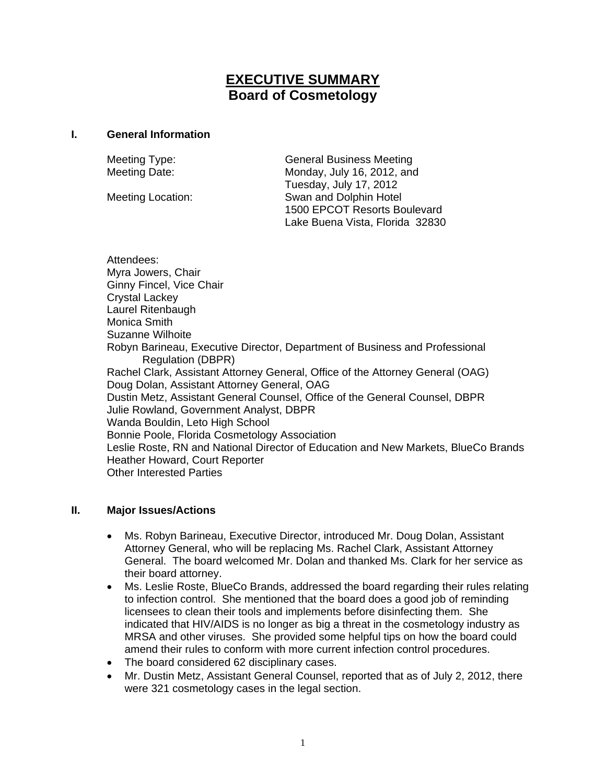# **EXECUTIVE SUMMARY Board of Cosmetology**

#### **I. General Information**

Meeting Type: General Business Meeting Meeting Date: Monday, July 16, 2012, and Tuesday, July 17, 2012 Meeting Location: Swan and Dolphin Hotel 1500 EPCOT Resorts Boulevard Lake Buena Vista, Florida 32830

Attendees: Myra Jowers, Chair Ginny Fincel, Vice Chair Crystal Lackey Laurel Ritenbaugh Monica Smith Suzanne Wilhoite Robyn Barineau, Executive Director, Department of Business and Professional Regulation (DBPR) Rachel Clark, Assistant Attorney General, Office of the Attorney General (OAG) Doug Dolan, Assistant Attorney General, OAG Dustin Metz, Assistant General Counsel, Office of the General Counsel, DBPR Julie Rowland, Government Analyst, DBPR Wanda Bouldin, Leto High School Bonnie Poole, Florida Cosmetology Association Leslie Roste, RN and National Director of Education and New Markets, BlueCo Brands Heather Howard, Court Reporter Other Interested Parties

### **II. Major Issues/Actions**

- Ms. Robyn Barineau, Executive Director, introduced Mr. Doug Dolan, Assistant Attorney General, who will be replacing Ms. Rachel Clark, Assistant Attorney General. The board welcomed Mr. Dolan and thanked Ms. Clark for her service as their board attorney.
- Ms. Leslie Roste, BlueCo Brands, addressed the board regarding their rules relating to infection control. She mentioned that the board does a good job of reminding licensees to clean their tools and implements before disinfecting them. She indicated that HIV/AIDS is no longer as big a threat in the cosmetology industry as MRSA and other viruses. She provided some helpful tips on how the board could amend their rules to conform with more current infection control procedures.
- The board considered 62 disciplinary cases.
- Mr. Dustin Metz, Assistant General Counsel, reported that as of July 2, 2012, there were 321 cosmetology cases in the legal section.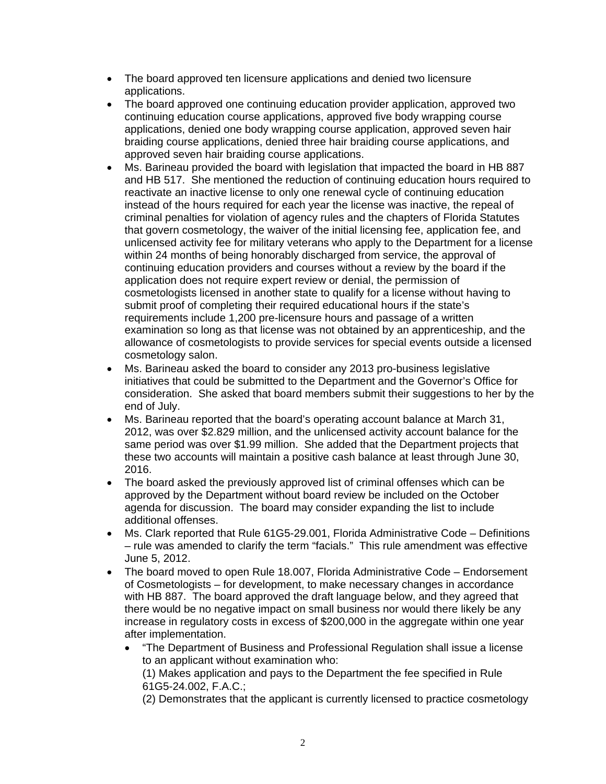- The board approved ten licensure applications and denied two licensure applications.
- The board approved one continuing education provider application, approved two continuing education course applications, approved five body wrapping course applications, denied one body wrapping course application, approved seven hair braiding course applications, denied three hair braiding course applications, and approved seven hair braiding course applications.
- Ms. Barineau provided the board with legislation that impacted the board in HB 887 and HB 517. She mentioned the reduction of continuing education hours required to reactivate an inactive license to only one renewal cycle of continuing education instead of the hours required for each year the license was inactive, the repeal of criminal penalties for violation of agency rules and the chapters of Florida Statutes that govern cosmetology, the waiver of the initial licensing fee, application fee, and unlicensed activity fee for military veterans who apply to the Department for a license within 24 months of being honorably discharged from service, the approval of continuing education providers and courses without a review by the board if the application does not require expert review or denial, the permission of cosmetologists licensed in another state to qualify for a license without having to submit proof of completing their required educational hours if the state's requirements include 1,200 pre-licensure hours and passage of a written examination so long as that license was not obtained by an apprenticeship, and the allowance of cosmetologists to provide services for special events outside a licensed cosmetology salon.
- Ms. Barineau asked the board to consider any 2013 pro-business legislative initiatives that could be submitted to the Department and the Governor's Office for consideration. She asked that board members submit their suggestions to her by the end of July.
- Ms. Barineau reported that the board's operating account balance at March 31, 2012, was over \$2.829 million, and the unlicensed activity account balance for the same period was over \$1.99 million. She added that the Department projects that these two accounts will maintain a positive cash balance at least through June 30, 2016.
- The board asked the previously approved list of criminal offenses which can be approved by the Department without board review be included on the October agenda for discussion. The board may consider expanding the list to include additional offenses.
- Ms. Clark reported that Rule 61G5-29.001, Florida Administrative Code Definitions – rule was amended to clarify the term "facials." This rule amendment was effective June 5, 2012.
- The board moved to open Rule 18.007, Florida Administrative Code Endorsement of Cosmetologists – for development, to make necessary changes in accordance with HB 887. The board approved the draft language below, and they agreed that there would be no negative impact on small business nor would there likely be any increase in regulatory costs in excess of \$200,000 in the aggregate within one year after implementation.
	- "The Department of Business and Professional Regulation shall issue a license to an applicant without examination who:

(1) Makes application and pays to the Department the fee specified in Rule 61G5-24.002, F.A.C.;

(2) Demonstrates that the applicant is currently licensed to practice cosmetology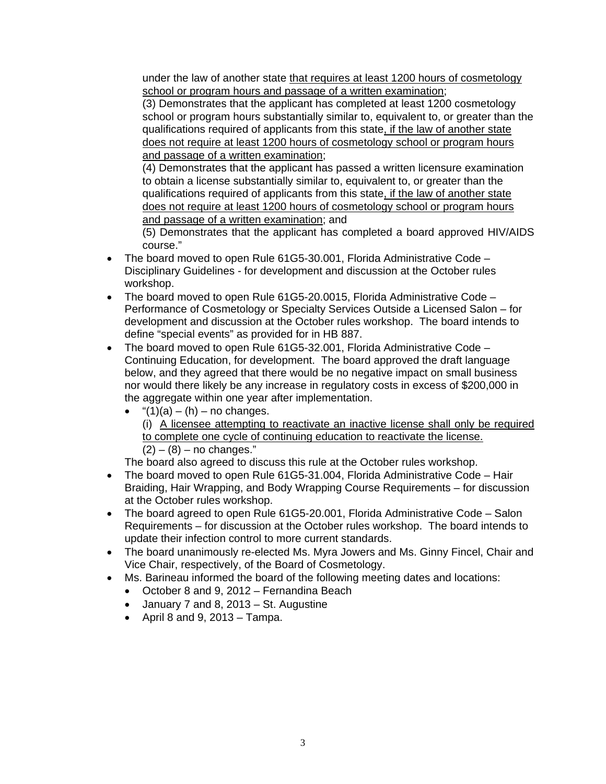under the law of another state that requires at least 1200 hours of cosmetology school or program hours and passage of a written examination;

(3) Demonstrates that the applicant has completed at least 1200 cosmetology school or program hours substantially similar to, equivalent to, or greater than the qualifications required of applicants from this state, if the law of another state does not require at least 1200 hours of cosmetology school or program hours and passage of a written examination;

(4) Demonstrates that the applicant has passed a written licensure examination to obtain a license substantially similar to, equivalent to, or greater than the qualifications required of applicants from this state, if the law of another state does not require at least 1200 hours of cosmetology school or program hours and passage of a written examination; and

(5) Demonstrates that the applicant has completed a board approved HIV/AIDS course."

- The board moved to open Rule 61G5-30.001, Florida Administrative Code Disciplinary Guidelines - for development and discussion at the October rules workshop.
- The board moved to open Rule 61G5-20.0015, Florida Administrative Code Performance of Cosmetology or Specialty Services Outside a Licensed Salon – for development and discussion at the October rules workshop. The board intends to define "special events" as provided for in HB 887.
- The board moved to open Rule 61G5-32.001, Florida Administrative Code Continuing Education, for development. The board approved the draft language below, and they agreed that there would be no negative impact on small business nor would there likely be any increase in regulatory costs in excess of \$200,000 in the aggregate within one year after implementation.
	- $\bullet$  "(1)(a) (h) no changes. (i) A licensee attempting to reactivate an inactive license shall only be required to complete one cycle of continuing education to reactivate the license.  $(2) - (8) -$  no changes."

The board also agreed to discuss this rule at the October rules workshop.

- The board moved to open Rule 61G5-31.004, Florida Administrative Code Hair Braiding, Hair Wrapping, and Body Wrapping Course Requirements – for discussion at the October rules workshop.
- The board agreed to open Rule 61G5-20.001, Florida Administrative Code Salon Requirements – for discussion at the October rules workshop. The board intends to update their infection control to more current standards.
- The board unanimously re-elected Ms. Myra Jowers and Ms. Ginny Fincel, Chair and Vice Chair, respectively, of the Board of Cosmetology.
- Ms. Barineau informed the board of the following meeting dates and locations:
	- October 8 and 9, 2012 Fernandina Beach
	- January 7 and 8, 2013 St. Augustine
	- April 8 and 9, 2013 Tampa.